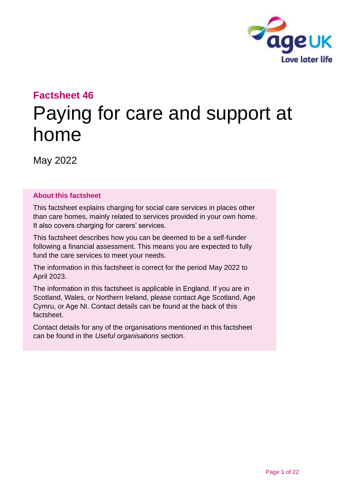

# **Factsheet 46**

# Paying for care and support at home

May 2022

#### **About this factsheet**

This factsheet explains charging for social care services in places other than care homes, mainly related to services provided in your own home. It also covers charging for carers' services.

This factsheet describes how you can be deemed to be a self-funder following a financial assessment. This means you are expected to fully fund the care services to meet your needs.

The information in this factsheet is correct for the period May 2022 to April 2023.

The information in this factsheet is applicable in England. If you are in Scotland, Wales, or Northern Ireland, please contact [Age Scotland, Age](#page-20-0)  Cymru, [or Age NI.](#page-20-0) Contact details can be found at the back of this factsheet.

Contact details for any of the organisations mentioned in this factsheet can be found in the *[Useful organisations](#page-19-0)* section.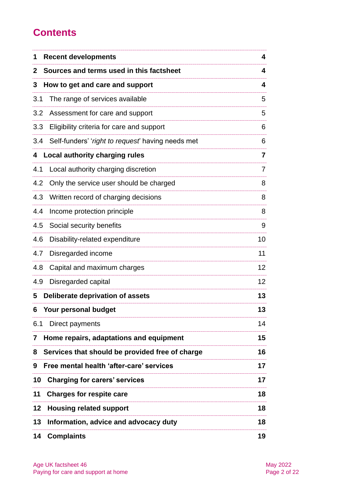# **Contents**

| 1            | <b>Recent developments</b>                        | 4              |
|--------------|---------------------------------------------------|----------------|
| $\mathbf{2}$ | Sources and terms used in this factsheet          | 4              |
| 3            | How to get and care and support                   | 4              |
| 3.1          | The range of services available                   | 5              |
| 3.2          | Assessment for care and support                   | 5              |
| 3.3          | Eligibility criteria for care and support         | 6              |
| 3.4          | Self-funders' 'right to request' having needs met | 6              |
| 4            | <b>Local authority charging rules</b>             | $\overline{7}$ |
| 4.1          | Local authority charging discretion               | 7              |
| 4.2          | Only the service user should be charged           | 8              |
| 4.3          | Written record of charging decisions              | 8              |
| 4.4          | Income protection principle                       | 8              |
| 4.5          | Social security benefits                          | 9              |
| 4.6          | Disability-related expenditure                    | 10             |
| 4.7          | Disregarded income                                | 11             |
| 4.8          | Capital and maximum charges                       | 12             |
| 4.9          | Disregarded capital                               | 12             |
| 5            | Deliberate deprivation of assets                  | 13             |
| 6            | Your personal budget                              | 13             |
| 6.1          | Direct payments                                   | 14             |
| 7            | Home repairs, adaptations and equipment           | 15             |
| 8            | Services that should be provided free of charge   | 16             |
| 9            | Free mental health 'after-care' services          | 17             |
| 10           | <b>Charging for carers' services</b>              | 17             |
| 11           | <b>Charges for respite care</b>                   | 18             |
| 12           | <b>Housing related support</b>                    | 18             |
| 13           | Information, advice and advocacy duty             | 18             |
| 14           | <b>Complaints</b>                                 | 19             |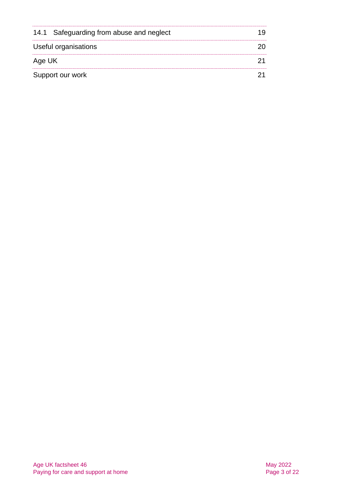|                      | 14.1 Safeguarding from abuse and neglect |  |
|----------------------|------------------------------------------|--|
| Useful organisations |                                          |  |
| Age UK               |                                          |  |
| Support our work     |                                          |  |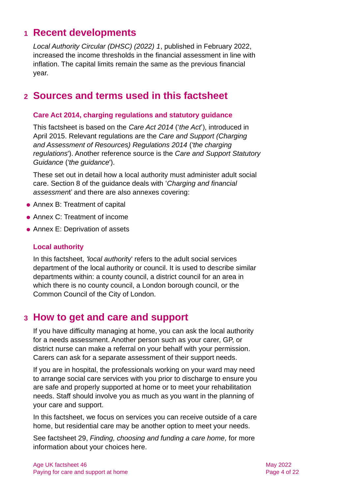# <span id="page-3-0"></span>**1 Recent developments**

*[Local Authority Circular \(DHSC\) \(2022\) 1](https://www.gov.uk/government/publications/social-care-charging-for-local-authorities-2022-to-2023/social-care-charging-for-care-and-support-local-authority-circular-lacdhsc20231)*, published in February 2022, increased the income thresholds in the financial assessment in line with inflation. The capital limits remain the same as the previous financial year.

# <span id="page-3-1"></span>**2 Sources and terms used in this factsheet**

#### **Care Act 2014, charging regulations and statutory guidance**

This factsheet is based on the *[Care Act 2014](http://www.legislation.gov.uk/ukpga/2014/23/contents)* ('*the Act*'), introduced in April 2015. Relevant regulations are the *[Care and Support \(Charging](http://www.legislation.gov.uk/uksi/2014/2672/contents/made)  [and Assessment of Resources\) Regulations 2014](http://www.legislation.gov.uk/uksi/2014/2672/contents/made)* (*'the charging regulations*'). Another reference source is the *[Care and Support Statutory](https://www.gov.uk/government/publications/care-act-statutory-guidance/care-and-support-statutory-guidance)  [Guidance](https://www.gov.uk/government/publications/care-act-statutory-guidance/care-and-support-statutory-guidance)* (*'the guidance*').

These set out in detail how a local authority must administer adult social care. Section 8 of the guidance deals with '*Charging and financial assessmen*t' and there are also annexes covering:

- Annex B: Treatment of capital
- Annex C: Treatment of income
- Annex E: Deprivation of assets

#### **Local authority**

In this factsheet, *'local authorit*y' refers to the adult social services department of the local authority or council. It is used to describe similar departments within: a county council, a district council for an area in which there is no county council, a London borough council, or the Common Council of the City of London.

### <span id="page-3-2"></span>**3 How to get and care and support**

If you have difficulty managing at home, you can ask the local authority for a needs assessment. Another person such as your carer, GP, or district nurse can make a referral on your behalf with your permission. Carers can ask for a separate assessment of their support needs.

If you are in hospital, the professionals working on your ward may need to arrange social care services with you prior to discharge to ensure you are safe and properly supported at home or to meet your rehabilitation needs. Staff should involve you as much as you want in the planning of your care and support.

In this factsheet, we focus on services you can receive outside of a care home, but residential care may be another option to meet your needs.

See factsheet 29, *[Finding, choosing and funding a care home,](https://www.ageuk.org.uk/globalassets/age-uk/documents/factsheets/fs29_finding_choosing_and_funding_a_care_home_fcs.pdf)* for more information about your choices here.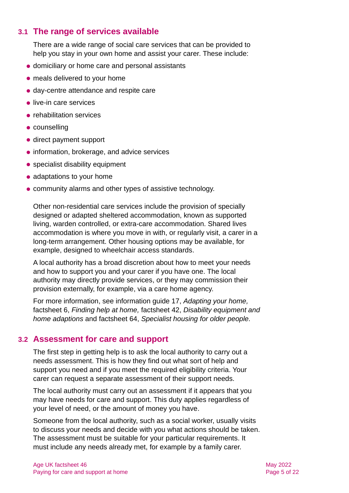### **3.1 The range of services available**

There are a wide range of social care services that can be provided to help you stay in your own home and assist your carer. These include:

- ⚫ domiciliary or home care and personal assistants
- ⚫ meals delivered to your home
- ⚫ day-centre attendance and respite care
- ⚫ live-in care services
- rehabilitation services
- ⚫ counselling
- direct payment support
- information, brokerage, and advice services
- specialist disability equipment
- adaptations to your home
- ⚫ community alarms and other types of assistive technology.

Other non-residential care services include the provision of specially designed or adapted sheltered accommodation, known as supported living, warden controlled, or extra-care accommodation. Shared lives accommodation is where you move in with, or regularly visit, a carer in a long-term arrangement. Other housing options may be available, for example, designed to wheelchair access standards.

A local authority has a broad discretion about how to meet your needs and how to support you and your carer if you have one. The local authority may directly provide services, or they may commission their provision externally, for example, via a care home agency.

For more information, see information guide 17, *[Adapting your home,](https://www.ageuk.org.uk/globalassets/age-uk/documents/information-guides/ageukig17_adapting_your_home_inf.pdf)* factsheet 6, *[Finding help at home,](https://www.ageuk.org.uk/globalassets/age-uk/documents/factsheets/fs6_finding_help_at_home_fcs.pdf)* factsheet 42, *[Disability equipment and](https://www.ageuk.org.uk/globalassets/age-uk/documents/factsheets/fs42_disability_equipment_and_home_adaptations_fcs.pdf)  [home adaptions](https://www.ageuk.org.uk/globalassets/age-uk/documents/factsheets/fs42_disability_equipment_and_home_adaptations_fcs.pdf)* and factsheet 64, *[Specialist housing for older people.](https://www.ageuk.org.uk/globalassets/age-uk/documents/factsheets/fs64_specialist_housing_for_older_people_fcs.pdf)* 

### **3.2 Assessment for care and support**

The first step in getting help is to ask the local authority to carry out a needs assessment. This is how they find out what sort of help and support you need and if you meet the required eligibility criteria. Your carer can request a separate assessment of their support needs.

The local authority must carry out an assessment if it appears that you may have needs for care and support. This duty applies regardless of your level of need, or the amount of money you have.

Someone from the local authority, such as a social worker, usually visits to discuss your needs and decide with you what actions should be taken. The assessment must be suitable for your particular requirements. It must include any needs already met, for example by a family carer.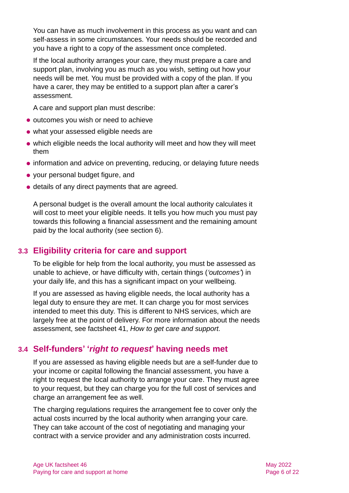You can have as much involvement in this process as you want and can self-assess in some circumstances. Your needs should be recorded and you have a right to a copy of the assessment once completed.

If the local authority arranges your care, they must prepare a care and support plan, involving you as much as you wish, setting out how your needs will be met. You must be provided with a copy of the plan. If you have a carer, they may be entitled to a support plan after a carer's assessment.

A care and support plan must describe:

- outcomes you wish or need to achieve
- ⚫ what your assessed eligible needs are
- ⚫ which eligible needs the local authority will meet and how they will meet them
- ⚫ information and advice on preventing, reducing, or delaying future needs
- ⚫ your personal budget figure, and
- ⚫ details of any direct payments that are agreed.

A personal budget is the overall amount the local authority calculates it will cost to meet your eligible needs. It tells you how much you must pay towards this following a financial assessment and the remaining amount paid by the local authority (see [section 6\)](#page-12-1).

### **3.3 Eligibility criteria for care and support**

To be eligible for help from the local authority, you must be assessed as unable to achieve, or have difficulty with, certain things (*'outcomes'*) in your daily life, and this has a significant impact on your wellbeing.

If you are assessed as having eligible needs, the local authority has a legal duty to ensure they are met. It can charge you for most services intended to meet this duty. This is different to NHS services, which are largely free at the point of delivery. For more information about the needs assessment, see factsheet 41, *[How to get care and support.](https://www.ageuk.org.uk/globalassets/age-uk/documents/factsheets/fs41_how_to_get_care_and_support_fcs.pdf)*

### **3.4 Self-funders' '***right to request***' having needs met**

If you are assessed as having eligible needs but are a self-funder due to your income or capital following the financial assessment, you have a right to request the local authority to arrange your care. They must agree to your request, but they can charge you for the full cost of services and charge an arrangement fee as well.

The charging regulations requires the arrangement fee to cover only the actual costs incurred by the local authority when arranging your care. They can take account of the cost of negotiating and managing your contract with a service provider and any administration costs incurred.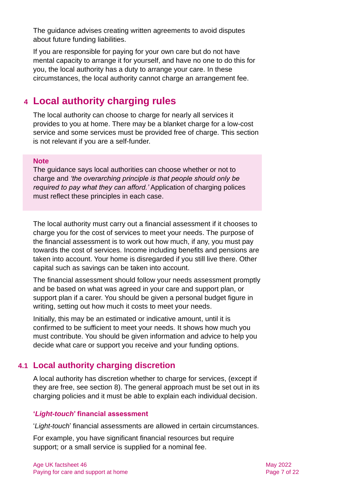The guidance advises creating written agreements to avoid disputes about future funding liabilities.

If you are responsible for paying for your own care but do not have mental capacity to arrange it for yourself, and have no one to do this for you, the local authority has a duty to arrange your care. In these circumstances, the local authority cannot charge an arrangement fee.

# <span id="page-6-0"></span>**4 Local authority charging rules**

The local authority can choose to charge for nearly all services it provides to you at home. There may be a blanket charge for a low-cost service and some services must be provided free of charge. This section is not relevant if you are a self-funder.

#### **Note**

The guidance says local authorities can choose whether or not to charge and *'the overarching principle is that people should only be required to pay what they can afford.'* Application of charging polices must reflect these principles in each case.

The local authority must carry out a financial assessment if it chooses to charge you for the cost of services to meet your needs. The purpose of the financial assessment is to work out how much, if any, you must pay towards the cost of services. Income including benefits and pensions are taken into account. Your home is disregarded if you still live there. Other capital such as savings can be taken into account.

The financial assessment should follow your needs assessment promptly and be based on what was agreed in your care and support plan, or support plan if a carer. You should be given a personal budget figure in writing, setting out how much it costs to meet your needs.

Initially, this may be an estimated or indicative amount, until it is confirmed to be sufficient to meet your needs. It shows how much you must contribute. You should be given information and advice to help you decide what care or support you receive and your funding options.

### **4.1 Local authority charging discretion**

A local authority has discretion whether to charge for services, (except if they are free, see [section 8\)](#page-15-0). The general approach must be set out in its charging policies and it must be able to explain each individual decision.

#### **'***Light-touch***' financial assessment**

'*Light-touch*' financial assessments are allowed in certain circumstances.

For example, you have significant financial resources but require support; or a small service is supplied for a nominal fee.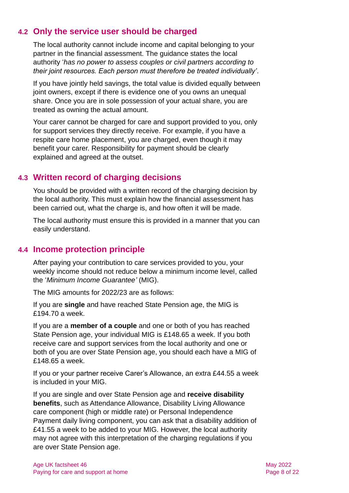### **4.2 Only the service user should be charged**

The local authority cannot include income and capital belonging to your partner in the financial assessment. The guidance states the local authority '*has no power to assess couples or civil partners according to their joint resources. Each person must therefore be treated individually'*.

If you have jointly held savings, the total value is divided equally between joint owners, except if there is evidence one of you owns an unequal share. Once you are in sole possession of your actual share, you are treated as owning the actual amount.

Your carer cannot be charged for care and support provided to you, only for support services they directly receive. For example, if you have a respite care home placement, you are charged, even though it may benefit your carer. Responsibility for payment should be clearly explained and agreed at the outset.

### **4.3 Written record of charging decisions**

You should be provided with a written record of the charging decision by the local authority. This must explain how the financial assessment has been carried out, what the charge is, and how often it will be made.

The local authority must ensure this is provided in a manner that you can easily understand.

### **4.4 Income protection principle**

After paying your contribution to care services provided to you, your weekly income should not reduce below a minimum income level, called the '*Minimum Income Guarantee'* (MIG).

The MIG amounts for 2022/23 are as follows:

If you are **single** and have reached State Pension age, the MIG is £194.70 a week.

If you are a **member of a couple** and one or both of you has reached State Pension age, your individual MIG is £148.65 a week. If you both receive care and support services from the local authority and one or both of you are over State Pension age, you should each have a MIG of £148.65 a week.

If you or your partner receive Carer's Allowance, an extra £44.55 a week is included in your MIG.

If you are single and over State Pension age and **receive disability benefits**, such as Attendance Allowance, Disability Living Allowance care component (high or middle rate) or Personal Independence Payment daily living component, you can ask that a disability addition of £41.55 a week to be added to your MIG. However, the local authority may not agree with this interpretation of the charging regulations if you are over State Pension age.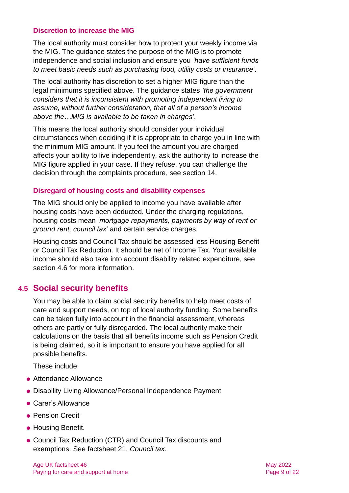#### **Discretion to increase the MIG**

The local authority must consider how to protect your weekly income via the MIG. The guidance states the purpose of the MIG is to promote independence and social inclusion and ensure you *'have sufficient funds to meet basic needs such as purchasing food, utility costs or insurance'.*

The local authority has discretion to set a higher MIG figure than the legal minimums specified above. The guidance states *'the government considers that it is inconsistent with promoting independent living to assume, without further consideration, that all of a person's income above the…MIG is available to be taken in charges'*.

This means the local authority should consider your individual circumstances when deciding if it is appropriate to charge you in line with the minimum MIG amount. If you feel the amount you are charged affects your ability to live independently, ask the authority to increase the MIG figure applied in your case. If they refuse, you can challenge the decision through the complaints procedure, see [section 14.](#page-18-0)

#### **Disregard of housing costs and disability expenses**

The MIG should only be applied to income you have available after housing costs have been deducted. Under the charging regulations, housing costs mean *'mortgage repayments, payments by way of rent or ground rent, council tax'* and certain service charges.

Housing costs and Council Tax should be assessed less Housing Benefit or Council Tax Reduction. It should be net of Income Tax. Your available income should also take into account disability related expenditure, see [section 4.6](#page-9-0) for more information.

#### **4.5 Social security benefits**

You may be able to claim social security benefits to help meet costs of care and support needs, on top of local authority funding. Some benefits can be taken fully into account in the financial assessment, whereas others are partly or fully disregarded. The local authority make their calculations on the basis that all benefits income such as Pension Credit is being claimed, so it is important to ensure you have applied for all possible benefits.

These include:

- Attendance Allowance
- ⚫ Disability Living Allowance/Personal Independence Payment
- Carer's Allowance
- Pension Credit
- ⚫ Housing Benefit.
- Council Tax Reduction (CTR) and Council Tax discounts and exemptions. See factsheet 21, *[Council tax](https://www.ageuk.org.uk/globalassets/age-uk/documents/factsheets/fs21_council_tax_fcs.pdf)*.

Age UK factsheet 46 May 2022 Age UK factsheet 46 Paying for care and support at home **Page 9 of 22** Page 9 of 22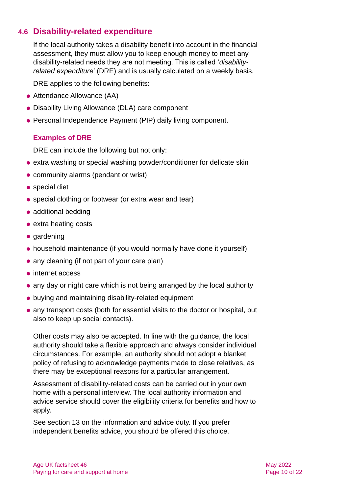### <span id="page-9-0"></span>**4.6 Disability-related expenditure**

If the local authority takes a disability benefit into account in the financial assessment, they must allow you to keep enough money to meet any disability-related needs they are not meeting. This is called '*disabilityrelated expenditure*' (DRE) and is usually calculated on a weekly basis.

DRE applies to the following benefits:

- ⚫ Attendance Allowance (AA)
- ⚫ Disability Living Allowance (DLA) care component
- ⚫ Personal Independence Payment (PIP) daily living component.

#### **Examples of DRE**

DRE can include the following but not only:

- extra washing or special washing powder/conditioner for delicate skin
- ⚫ community alarms (pendant or wrist)
- special diet
- ⚫ special clothing or footwear (or extra wear and tear)
- ⚫ additional bedding
- ⚫ extra heating costs
- ⚫ gardening
- ⚫ household maintenance (if you would normally have done it yourself)
- any cleaning (if not part of your care plan)
- internet access
- ⚫ any day or night care which is not being arranged by the local authority
- ⚫ buying and maintaining disability-related equipment
- ⚫ any transport costs (both for essential visits to the doctor or hospital, but also to keep up social contacts).

Other costs may also be accepted. In line with the guidance, the local authority should take a flexible approach and always consider individual circumstances. For example, an authority should not adopt a blanket policy of refusing to acknowledge payments made to close relatives, as there may be exceptional reasons for a particular arrangement.

Assessment of disability-related costs can be carried out in your own home with a personal interview. The local authority information and advice service should cover the eligibility criteria for benefits and how to apply.

See [section 13](#page-17-2) on the information and advice duty. If you prefer independent benefits advice, you should be offered this choice.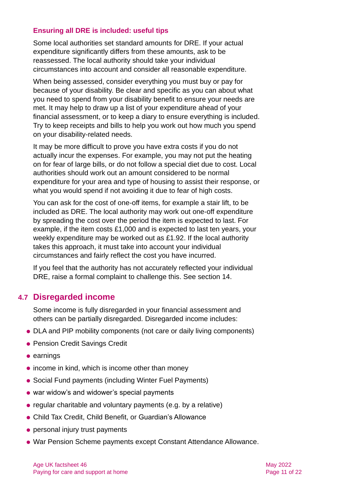#### **Ensuring all DRE is included: useful tips**

Some local authorities set standard amounts for DRE. If your actual expenditure significantly differs from these amounts, ask to be reassessed. The local authority should take your individual circumstances into account and consider all reasonable expenditure.

When being assessed, consider everything you must buy or pay for because of your disability. Be clear and specific as you can about what you need to spend from your disability benefit to ensure your needs are met. It may help to draw up a list of your expenditure ahead of your financial assessment, or to keep a diary to ensure everything is included. Try to keep receipts and bills to help you work out how much you spend on your disability-related needs.

It may be more difficult to prove you have extra costs if you do not actually incur the expenses. For example, you may not put the heating on for fear of large bills, or do not follow a special diet due to cost. Local authorities should work out an amount considered to be normal expenditure for your area and type of housing to assist their response, or what you would spend if not avoiding it due to fear of high costs.

You can ask for the cost of one-off items, for example a stair lift, to be included as DRE. The local authority may work out one-off expenditure by spreading the cost over the period the item is expected to last. For example, if the item costs £1,000 and is expected to last ten years, your weekly expenditure may be worked out as £1.92. If the local authority takes this approach, it must take into account your individual circumstances and fairly reflect the cost you have incurred.

If you feel that the authority has not accurately reflected your individual DRE, raise a formal complaint to challenge this. See [section 14.](#page-18-0)

#### **4.7 Disregarded income**

Some income is fully disregarded in your financial assessment and others can be partially disregarded. Disregarded income includes:

- ⚫ DLA and PIP mobility components (not care or daily living components)
- Pension Credit Savings Credit
- ⚫ earnings
- income in kind, which is income other than money
- Social Fund payments (including Winter Fuel Payments)
- war widow's and widower's special payments
- ⚫ regular charitable and voluntary payments (e.g. by a relative)
- ⚫ Child Tax Credit, Child Benefit, or Guardian's Allowance
- ⚫ personal injury trust payments
- ⚫ War Pension Scheme payments except Constant Attendance Allowance.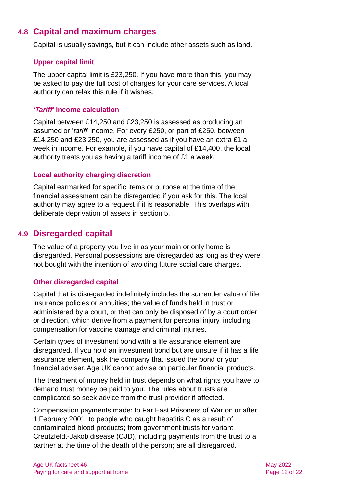### **4.8 Capital and maximum charges**

Capital is usually savings, but it can include other assets such as land.

#### **Upper capital limit**

The upper capital limit is £23,250. If you have more than this, you may be asked to pay the full cost of charges for your care services. A local authority can relax this rule if it wishes.

#### **'***Tariff***' income calculation**

Capital between £14,250 and £23,250 is assessed as producing an assumed or '*tariff*' income. For every £250, or part of £250, between £14,250 and £23,250, you are assessed as if you have an extra £1 a week in income. For example, if you have capital of £14,400, the local authority treats you as having a tariff income of £1 a week.

#### **Local authority charging discretion**

Capital earmarked for specific items or purpose at the time of the financial assessment can be disregarded if you ask for this. The local authority may agree to a request if it is reasonable. This overlaps with deliberate deprivation of assets in [section 5.](#page-12-0)

### **4.9 Disregarded capital**

The value of a property you live in as your main or only home is disregarded. Personal possessions are disregarded as long as they were not bought with the intention of avoiding future social care charges.

#### **Other disregarded capital**

Capital that is disregarded indefinitely includes the surrender value of life insurance policies or annuities; the value of funds held in trust or administered by a court, or that can only be disposed of by a court order or direction, which derive from a payment for personal injury, including compensation for vaccine damage and criminal injuries.

Certain types of investment bond with a life assurance element are disregarded. If you hold an investment bond but are unsure if it has a life assurance element, ask the company that issued the bond or your financial adviser. Age UK cannot advise on particular financial products.

The treatment of money held in trust depends on what rights you have to demand trust money be paid to you. The rules about trusts are complicated so seek advice from the trust provider if affected.

Compensation payments made: to Far East Prisoners of War on or after 1 February 2001; to people who caught hepatitis C as a result of contaminated blood products; from government trusts for variant Creutzfeldt-Jakob disease (CJD), including payments from the trust to a partner at the time of the death of the person; are all disregarded.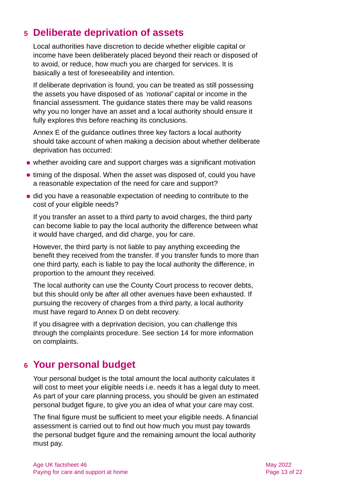# <span id="page-12-0"></span>**5 Deliberate deprivation of assets**

Local authorities have discretion to decide whether eligible capital or income have been deliberately placed beyond their reach or disposed of to avoid, or reduce, how much you are charged for services. It is basically a test of foreseeability and intention.

If deliberate deprivation is found, you can be treated as still possessing the assets you have disposed of as *'notional'* capital or income in the financial assessment. The guidance states there may be valid reasons why you no longer have an asset and a local authority should ensure it fully explores this before reaching its conclusions.

Annex E of the guidance outlines three key factors a local authority should take account of when making a decision about whether deliberate deprivation has occurred:

- ⚫ whether avoiding care and support charges was a significant motivation
- timing of the disposal. When the asset was disposed of, could you have a reasonable expectation of the need for care and support?
- ⚫ did you have a reasonable expectation of needing to contribute to the cost of your eligible needs?

If you transfer an asset to a third party to avoid charges, the third party can become liable to pay the local authority the difference between what it would have charged, and did charge, you for care.

However, the third party is not liable to pay anything exceeding the benefit they received from the transfer. If you transfer funds to more than one third party, each is liable to pay the local authority the difference, in proportion to the amount they received.

The local authority can use the County Court process to recover debts, but this should only be after all other avenues have been exhausted. If pursuing the recovery of charges from a third party, a local authority must have regard to Annex D on debt recovery.

If you disagree with a deprivation decision, you can challenge this through the complaints procedure. See [section 14](#page-18-0) for more information on complaints.

# <span id="page-12-1"></span>**6 Your personal budget**

Your personal budget is the total amount the local authority calculates it will cost to meet your eligible needs i.e. needs it has a legal duty to meet. As part of your care planning process, you should be given an estimated personal budget figure, to give you an idea of what your care may cost.

The final figure must be sufficient to meet your eligible needs. A financial assessment is carried out to find out how much you must pay towards the personal budget figure and the remaining amount the local authority must pay.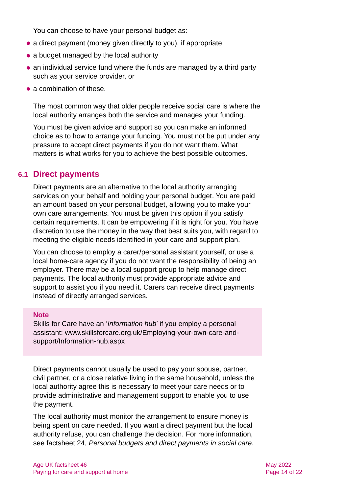You can choose to have your personal budget as:

- a direct payment (money given directly to you), if appropriate
- a budget managed by the local authority
- ⚫ an individual service fund where the funds are managed by a third party such as your service provider, or
- a combination of these

The most common way that older people receive social care is where the local authority arranges both the service and manages your funding.

You must be given advice and support so you can make an informed choice as to how to arrange your funding. You must not be put under any pressure to accept direct payments if you do not want them. What matters is what works for you to achieve the best possible outcomes.

#### **6.1 Direct payments**

Direct payments are an alternative to the local authority arranging services on your behalf and holding your personal budget. You are paid an amount based on your personal budget, allowing you to make your own care arrangements. You must be given this option if you satisfy certain requirements. It can be empowering if it is right for you. You have discretion to use the money in the way that best suits you, with regard to meeting the eligible needs identified in your care and support plan.

You can choose to employ a carer/personal assistant yourself, or use a local home-care agency if you do not want the responsibility of being an employer. There may be a local support group to help manage direct payments. The local authority must provide appropriate advice and support to assist you if you need it. Carers can receive direct payments instead of directly arranged services.

#### **Note**

Skills for Care have an '*Information hub*' if you employ a personal assistant: [www.skillsforcare.org.uk/Employing-your-own-care-and](http://www.skillsforcare.org.uk/Employing-your-own-care-and-support/Information-hub.aspx)[support/Information-hub.aspx](http://www.skillsforcare.org.uk/Employing-your-own-care-and-support/Information-hub.aspx)

Direct payments cannot usually be used to pay your spouse, partner, civil partner, or a close relative living in the same household, unless the local authority agree this is necessary to meet your care needs or to provide administrative and management support to enable you to use the payment.

The local authority must monitor the arrangement to ensure money is being spent on care needed. If you want a direct payment but the local authority refuse, you can challenge the decision. For more information, see factsheet 24, *[Personal budgets and direct payments in social care](https://www.ageuk.org.uk/globalassets/age-uk/documents/factsheets/fs24_personal_budgets_and_direct_payments_in_social_care_fcs.pdf)*.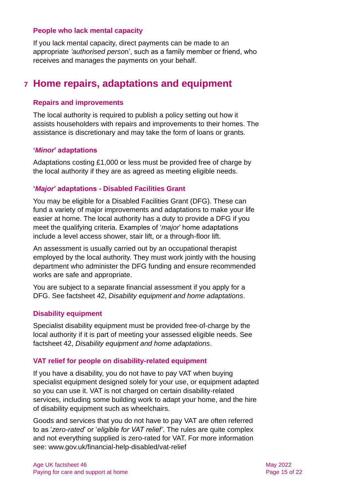#### **People who lack mental capacity**

If you lack mental capacity, direct payments can be made to an appropriate *'authorised perso*n', such as a family member or friend, who receives and manages the payments on your behalf.

# <span id="page-14-0"></span>**7 Home repairs, adaptations and equipment**

#### **Repairs and improvements**

The local authority is required to publish a policy setting out how it assists householders with repairs and improvements to their homes. The assistance is discretionary and may take the form of loans or grants.

#### **'***Minor***' adaptations**

Adaptations costing £1,000 or less must be provided free of charge by the local authority if they are as agreed as meeting eligible needs.

#### **'***Major***' adaptations - Disabled Facilities Grant**

You may be eligible for a Disabled Facilities Grant (DFG). These can fund a variety of major improvements and adaptations to make your life easier at home. The local authority has a duty to provide a DFG if you meet the qualifying criteria. Examples of '*major*' home adaptations include a level access shower, stair lift, or a through-floor lift.

An assessment is usually carried out by an occupational therapist employed by the local authority. They must work jointly with the housing department who administer the DFG funding and ensure recommended works are safe and appropriate.

You are subject to a separate financial assessment if you apply for a DFG. See factsheet 42, *[Disability equipment and home adaptations](https://www.ageuk.org.uk/globalassets/age-uk/documents/factsheets/fs42_disability_equipment_and_home_adaptations_fcs.pdf)*.

#### **Disability equipment**

Specialist disability equipment must be provided free-of-charge by the local authority if it is part of meeting your assessed eligible needs. See factsheet 42, *[Disability equipment and home adaptations](https://www.ageuk.org.uk/globalassets/age-uk/documents/factsheets/fs42_disability_equipment_and_home_adaptations_fcs.pdf)*.

#### **VAT relief for people on disability-related equipment**

If you have a disability, you do not have to pay VAT when buying specialist equipment designed solely for your use, or equipment adapted so you can use it. VAT is not charged on certain disability-related services, including some building work to adapt your home, and the hire of disability equipment such as wheelchairs.

Goods and services that you do not have to pay VAT are often referred to as '*zero-rated*' or '*eligible for VAT relief'*. The rules are quite complex and not everything supplied is zero-rated for VAT. For more information see: [www.gov.uk/financial-help-disabled/vat-relief](http://www.gov.uk/financial-help-disabled/vat-relief)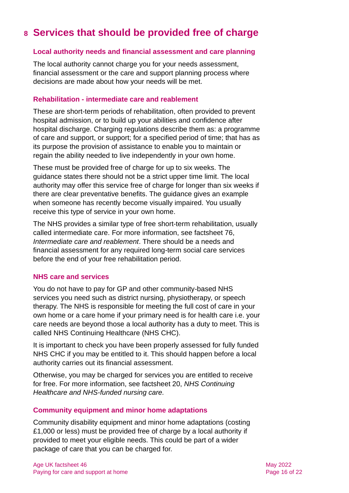# <span id="page-15-0"></span>**8 Services that should be provided free of charge**

#### **Local authority needs and financial assessment and care planning**

The local authority cannot charge you for your needs assessment, financial assessment or the care and support planning process where decisions are made about how your needs will be met.

#### **Rehabilitation - intermediate care and reablement**

These are short-term periods of rehabilitation, often provided to prevent hospital admission, or to build up your abilities and confidence after hospital discharge. Charging regulations describe them as: a programme of care and support, or support; for a specified period of time; that has as its purpose the provision of assistance to enable you to maintain or regain the ability needed to live independently in your own home.

These must be provided free of charge for up to six weeks. The guidance states there should not be a strict upper time limit. The local authority may offer this service free of charge for longer than six weeks if there are clear preventative benefits. The guidance gives an example when someone has recently become visually impaired. You usually receive this type of service in your own home.

The NHS provides a similar type of free short-term rehabilitation, usually called intermediate care. For more information, see factsheet 76, *[Intermediate care and reablement](https://www.ageuk.org.uk/globalassets/age-uk/documents/factsheets/fs76_intermediate_care_and_reablement_fcs.pdf)*. There should be a needs and financial assessment for any required long-term social care services before the end of your free rehabilitation period.

#### **NHS care and services**

You do not have to pay for GP and other community-based NHS services you need such as district nursing, physiotherapy, or speech therapy. The NHS is responsible for meeting the full cost of care in your own home or a care home if your primary need is for health care i.e. your care needs are beyond those a local authority has a duty to meet. This is called NHS Continuing Healthcare (NHS CHC).

It is important to check you have been properly assessed for fully funded NHS CHC if you may be entitled to it. This should happen before a local authority carries out its financial assessment.

Otherwise, you may be charged for services you are entitled to receive for free. For more information, see factsheet 20, *[NHS Continuing](https://www.ageuk.org.uk/globalassets/age-uk/documents/factsheets/fs20_nhs_continuing_healthcare_and_nhs-funded_nursing_care_fcs.pdf)  [Healthcare and NHS-funded nursing care.](https://www.ageuk.org.uk/globalassets/age-uk/documents/factsheets/fs20_nhs_continuing_healthcare_and_nhs-funded_nursing_care_fcs.pdf)*

#### **Community equipment and minor home adaptations**

Community disability equipment and minor home adaptations (costing £1,000 or less) must be provided free of charge by a local authority if provided to meet your eligible needs. This could be part of a wider package of care that you can be charged for.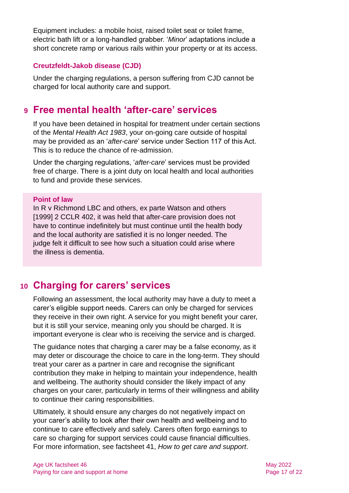Equipment includes: a mobile hoist, raised toilet seat or toilet frame, electric bath lift or a long-handled grabber. '*Minor*' adaptations include a short concrete ramp or various rails within your property or at its access.

#### **Creutzfeldt-Jakob disease (CJD)**

Under the charging regulations, a person suffering from CJD cannot be charged for local authority care and support.

# <span id="page-16-0"></span>**9 Free mental health 'after-care' services**

If you have been detained in hospital for treatment under certain sections of the *[Mental Health Act 1983](https://www.legislation.gov.uk/ukpga/1983/20/contents)*, your on-going care outside of hospital may be provided as an '*after-care*[' service under Section 117 of this Act.](https://www.mind.org.uk/information-support/legal-rights/leaving-hospital/section-117-aftercare/) This is to reduce the chance of re-admission.

Under the charging regulations, '*after-care*' services must be provided free of charge. There is a joint duty on local health and local authorities to fund and provide these services.

#### **Point of law**

In R v Richmond LBC and others, ex parte Watson and others [1999] 2 CCLR 402, it was held that after-care provision does not have to continue indefinitely but must continue until the health body and the local authority are satisfied it is no longer needed. The judge felt it difficult to see how such a situation could arise where the illness is dementia.

# <span id="page-16-1"></span>**10 Charging for carers' services**

Following an assessment, the local authority may have a duty to meet a carer's eligible support needs. Carers can only be charged for services they receive in their own right. A service for you might benefit your carer, but it is still your service, meaning only you should be charged. It is important everyone is clear who is receiving the service and is charged.

The guidance notes that charging a carer may be a false economy, as it may deter or discourage the choice to care in the long-term. They should treat your carer as a partner in care and recognise the significant contribution they make in helping to maintain your independence, health and wellbeing. The authority should consider the likely impact of any charges on your carer, particularly in terms of their willingness and ability to continue their caring responsibilities.

Ultimately, it should ensure any charges do not negatively impact on your carer's ability to look after their own health and wellbeing and to continue to care effectively and safely. Carers often forgo earnings to care so charging for support services could cause financial difficulties. For more information, see factsheet 41, *[How to get care and support](https://www.ageuk.org.uk/globalassets/age-uk/documents/factsheets/fs41_how_to_get_care_and_support_fcs.pdf)*.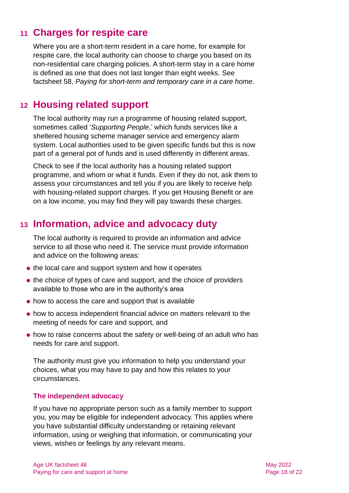# <span id="page-17-0"></span>**11 Charges for respite care**

Where you are a short-term resident in a care home, for example for respite care, the local authority can choose to charge you based on its non-residential care charging policies. A short-term stay in a care home is defined as one that does not last longer than eight weeks. See factsheet 58, *Paying for short-term and [temporary care in a care home](https://www.ageuk.org.uk/globalassets/age-uk/documents/factsheets/fs58_paying_for_short-term_and_temporary_care_in_a_care_home_fcs.pdf)*.

### <span id="page-17-1"></span>**12 Housing related support**

The local authority may run a programme of housing related support, sometimes called '*Supporting People*,' which funds services like a sheltered housing scheme manager service and emergency alarm system. Local authorities used to be given specific funds but this is now part of a general pot of funds and is used differently in different areas.

Check to see if the local authority has a housing related support programme, and whom or what it funds. Even if they do not, ask them to assess your circumstances and tell you if you are likely to receive help with housing-related support charges. If you get Housing Benefit or are on a low income, you may find they will pay towards these charges.

# <span id="page-17-2"></span>**13 Information, advice and advocacy duty**

The local authority is required to provide an information and advice service to all those who need it. The service must provide information and advice on the following areas:

- the local care and support system and how it operates
- the choice of types of care and support, and the choice of providers available to those who are in the authority's area
- ⚫ how to access the care and support that is available
- ⚫ how to access independent financial advice on matters relevant to the meeting of needs for care and support, and
- ⚫ how to raise concerns about the safety or well-being of an adult who has needs for care and support.

The authority must give you information to help you understand your choices, what you may have to pay and how this relates to your circumstances.

#### **The independent advocacy**

If you have no appropriate person such as a family member to support you, you may be eligible for independent advocacy. This applies where you have substantial difficulty understanding or retaining relevant information, using or weighing that information, or communicating your views, wishes or feelings by any relevant means.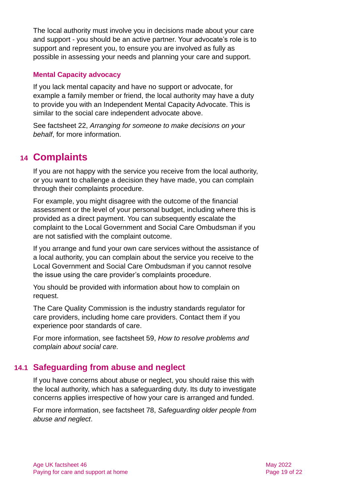The local authority must involve you in decisions made about your care and support - you should be an active partner. Your advocate's role is to support and represent you, to ensure you are involved as fully as possible in assessing your needs and planning your care and support.

#### **Mental Capacity advocacy**

If you lack mental capacity and have no support or advocate, for example a family member or friend, the local authority may have a duty to provide you with an Independent Mental Capacity Advocate. This is similar to the social care independent advocate above.

<span id="page-18-0"></span>See factsheet 22, *[Arranging for someone to make decisions on your](https://www.ageuk.org.uk/globalassets/age-uk/documents/factsheets/fs22_arranging_for_someone_to_make_decisions_on_your_behalf_fcs.pdf)  [behalf](https://www.ageuk.org.uk/globalassets/age-uk/documents/factsheets/fs22_arranging_for_someone_to_make_decisions_on_your_behalf_fcs.pdf)*, for more information.

# **14 Complaints**

If you are not happy with the service you receive from the local authority, or you want to challenge a decision they have made, you can complain through their complaints procedure.

For example, you might disagree with the outcome of the financial assessment or the level of your personal budget, including where this is provided as a direct payment. You can subsequently escalate the complaint to the Local Government and Social Care Ombudsman if you are not satisfied with the complaint outcome.

If you arrange and fund your own care services without the assistance of a local authority, you can complain about the service you receive to the Local Government and Social Care Ombudsman if you cannot resolve the issue using the care provider's complaints procedure.

You should be provided with information about how to complain on request.

The Care Quality Commission is the industry standards regulator for care providers, including home care providers. Contact them if you experience poor standards of care.

For more information, see factsheet 59, *[How to resolve problems and](https://www.ageuk.org.uk/globalassets/age-uk/documents/factsheets/fs59_how_to_resolve_problems_and_complain_about_social_care_fcs.pdf)  [complain about social care.](https://www.ageuk.org.uk/globalassets/age-uk/documents/factsheets/fs59_how_to_resolve_problems_and_complain_about_social_care_fcs.pdf)*

### **14.1 Safeguarding from abuse and neglect**

If you have concerns about abuse or neglect, you should raise this with the local authority, which has a safeguarding duty. Its duty to investigate concerns applies irrespective of how your care is arranged and funded.

For more information, see factsheet 78, *[Safeguarding older people from](https://www.ageuk.org.uk/globalassets/age-uk/documents/factsheets/fs78_safeguarding_older_people_from_abuse_fcs.pdf)  [abuse and neglect](https://www.ageuk.org.uk/globalassets/age-uk/documents/factsheets/fs78_safeguarding_older_people_from_abuse_fcs.pdf)*.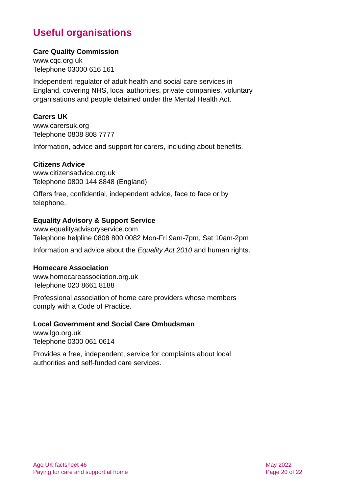# **Useful organisations**

#### <span id="page-19-0"></span>**Care Quality Commission**

[www.cqc.org.uk](http://www.cqc.org.uk/) Telephone 03000 616 161

Independent regulator of adult health and social care services in England, covering NHS, local authorities, private companies, voluntary organisations and people detained under the Mental Health Act.

#### **Carers UK**

[www.carersuk.org](http://www.carersuk.org/) Telephone 0808 808 7777

Information, advice and support for carers, including about benefits.

#### **Citizens Advice**

[www.citizensadvice.org.uk](http://www.citizensadvice.org.uk/) Telephone 0800 144 8848 (England)

Offers free, confidential, independent advice, face to face or by telephone.

#### **Equality Advisory & Support Service**

[www.equalityadvisoryservice.com](http://www.equalityadvisoryservice.com/) Telephone helpline 0808 800 0082 Mon-Fri 9am-7pm, Sat 10am-2pm

Information and advice about the *Equality Act 2010* and human rights.

#### **Homecare Association**

[www.homecareassociation.org.uk](http://www.homecareassociation.org.uk/) Telephone 020 8661 8188

Professional association of home care providers whose members comply with a Code of Practice.

#### **Local Government and Social Care Ombudsman**

[www.lgo.org.uk](http://www.lgo.org.uk/) Telephone 0300 061 0614

Provides a free, independent, service for complaints about local authorities and self-funded care services.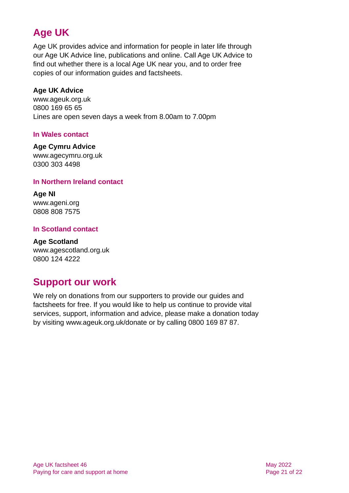# **Age UK**

Age UK provides advice and information for people in later life through our Age UK Advice line, publications and online. Call Age UK Advice to find out whether there is a local Age UK near you, and to order free copies of our information guides and factsheets.

#### <span id="page-20-1"></span>**Age UK Advice**

[www.ageuk.org.uk](http://www.ageuk.org.uk/) 0800 169 65 65 Lines are open seven days a week from 8.00am to 7.00pm

#### **In Wales contact**

#### **Age Cymru Advice**

[www.agecymru.org.uk](http://www.agecymru.org.uk/) 0300 303 4498

#### <span id="page-20-0"></span>**In Northern Ireland contact**

**Age NI** [www.ageni.org](http://www.ageni.org/) 0808 808 7575

#### **In Scotland contact**

<span id="page-20-2"></span>**Age Scotland** [www.agescotland.org.uk](http://www.agescotland.org.uk/) 0800 124 4222

# **Support our work**

We rely on donations from our supporters to provide our guides and factsheets for free. If you would like to help us continue to provide vital services, support, information and advice, please make a donation today by visiting [www.ageuk.org.uk/donate](http://www.ageuk.org.uk/donate) or by calling 0800 169 87 87.